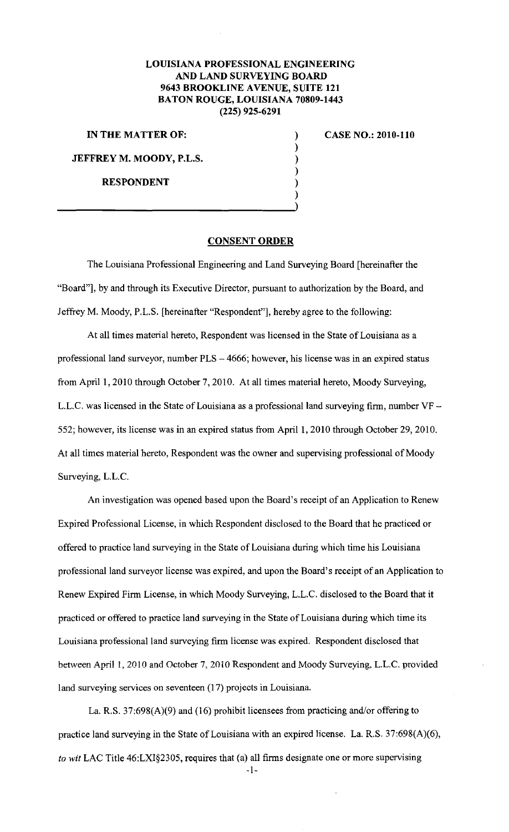## **LOUISIANA PROFESSIONAL ENGINEERING AND LAND SURVEYING BOARD 9643 BROOKLINE A VENUE, SUITE 121 BATON ROUGE, LOUISIANA 70809-1443 (225) 925-6291**

) ) ) ) )

**IN THE MATTER OF:** )

**JEFFREY M. MOODY, P.L.S.** 

**RESPONDENT** 

**CASE NO.: 2010-110** 

## **CONSENT ORDER**

The Louisiana Professional Engineering and Land Surveying Board [hereinafter the "Board"], by and through its Executive Director, pursuant to authorization by the Board, and Jeffrey M. Moody, P.L.S. [hereinafter "Respondent"], hereby agree to the following:

At all times material hereto, Respondent was licensed in the State of Louisiana as a professional land surveyor, number PLS- 4666; however, his license was in an expired status from April I, 2010 through October 7, 2010. At all times material hereto, Moody Surveying, L.L.C. was licensed in the State of Louisiana as a professional land surveying firm, number VF-552; however, its license was in an expired status from April 1, 2010 through October 29, 2010. At all times material hereto, Respondent was the owner and supervising professional of Moody Surveying, L.L.C.

An investigation was opened based upon the Board's receipt of an Application to Renew Expired Professional License, in which Respondent disclosed to the Board that he practiced or offered to practice land surveying in the State of Louisiana during which time his Louisiana professional land surveyor license was expired, and upon the Board's receipt of an Application to Renew Expired Firm License, in which Moody Surveying, L.L.C. disclosed to the Board that it practiced or offered to practice land surveying in the State of Louisiana during which time its Louisiana professional land surveying firm license was expired. Respondent disclosed that between April 1, 2010 and October 7, 2010 Respondent and Moody Surveying, L.L.C. provided land surveying services on seventeen (17) projects in Louisiana.

La. R.S. 37:698(A)(9) and (16) prohibit licensees from practicing and/or offering to practice land surveying in the State of Louisiana with an expired license. La. R.S. 37:698(A)(6), *to wit* LAC Title 46:LXI§2305, requires that (a) all firms designate one or more supervising

-I-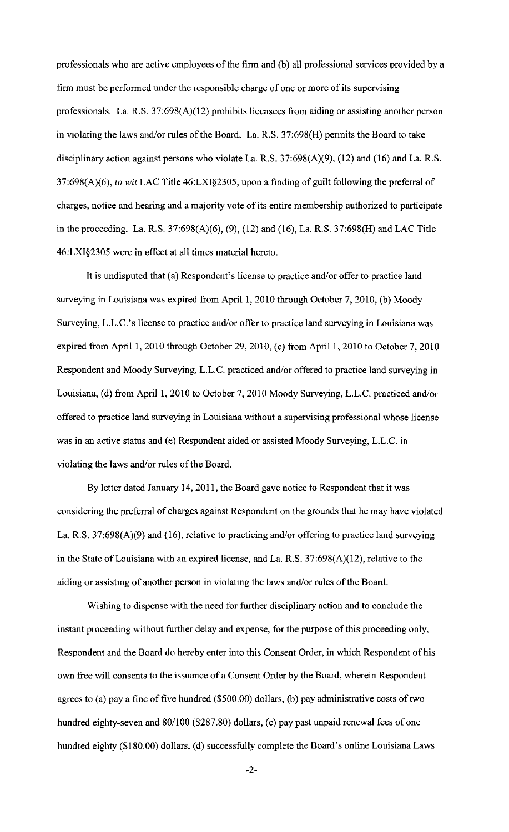professionals who are active employees of the firm and (b) all professional services provided by a firm must be performed under the responsible charge of one or more of its supervising professionals. La. R.S. 37:698(A)(12) prohibits licensees from aiding or assisting another person in violating the laws and/or rules of the Board. La. R.S. 37:698(H) permits the Board to take disciplinary action against persons who violate La. R.S. 37:698(A)(9), (12) and (16) and La. R.S. 37:698(A)(6), *to wit* LAC Title 46:LXI§2305, upon a finding of guilt following the preferral of charges, notice and hearing and a majority vote of its entire membership authorized to participate in the proceeding. La. R.S. 37:698(A)(6), (9), (12) and (16), La. R.S. 37:698(H) and LAC Title 46:LXI§2305 were in effect at all times material hereto.

It is undisputed that (a) Respondent's license to practice and/or offer to practice land surveying in Louisiana was expired from April 1, 2010 through October 7, 2010, (b) Moody Surveying, L.L.C.'s license to practice and/or offer to practice land surveying in Louisiana was expired from April 1, 2010 through October 29, 2010, (c) from April 1, 2010 to October 7, 2010 Respondent and Moody Surveying, L.L.C. practiced and/or offered to practice land surveying in Louisiana, (d) from April 1, 2010 to October 7, 2010 Moody Surveying, L.L.C. practiced and/or offered to practice land surveying in Louisiana without a supervising professional whose license was in an active status and (e) Respondent aided or assisted Moody Surveying, L.L.C. in violating the laws and/or rules of the Board.

By letter dated January 14,2011, the Board gave notice to Respondent that it was considering the preferral of charges against Respondent on the grounds that he may have violated La. R.S. 37:698(A)(9) and (16), relative to practicing and/or offering to practice land surveying in the State of Louisiana with an expired license, and La. R.S. 37:698(A)(12), relative to the aiding or assisting of another person in violating the laws and/or rules of the Board.

Wishing to dispense with the need for further disciplinary action and to conclude the instant proceeding without further delay and expense, for the purpose of this proceeding only, Respondent and the Board do hereby enter into this Consent Order, in which Respondent of his own free will consents to the issuance of a Consent Order by the Board, wherein Respondent agrees to (a) pay a fine of five hundred (\$500.00) dollars, (b) pay administrative costs of two hundred eighty-seven and 80/100 (\$287.80) dollars, (c) pay past unpaid renewal fees of one hundred eighty (\$180.00) dollars, (d) successfully complete the Board's online Louisiana Laws

-2-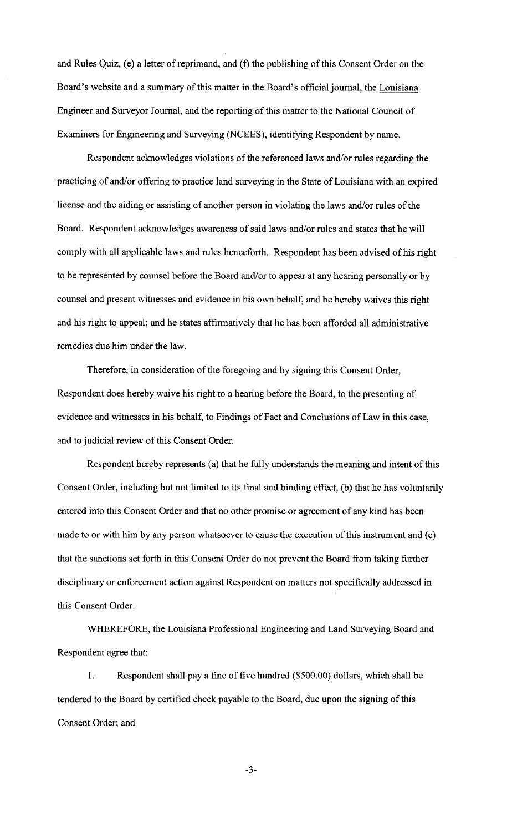and Rules Quiz, (e) a letter of reprimand, and (f) the publishing of this Consent Order on the Board's website and a summary of this matter in the Board's official journal, the Louisiana Engineer and Surveyor Journal, and the reporting of this matter to the National Council of Examiners for Engineering and Surveying (NCEES), identifying Respondent by name.

Respondent acknowledges violations of the referenced laws and/or rules regarding the practicing of and/or offering to practice land surveying in the State of Louisiana with an expired license and the aiding or assisting of another person in violating the laws and/or rules of the Board. Respondent acknowledges awareness of said laws and/or rules and states that he will comply with all applicable laws and rules henceforth. Respondent has been advised of his right to be represented by counsel before the Board and/or to appear at any hearing personally or by counsel and present witnesses and evidence in his own behalf, and he hereby waives this right and his right to appeal; and he states affirmatively that he has been afforded all administrative remedies due him under the law.

Therefore, in consideration of the foregoing and by signing this Consent Order, Respondent does hereby waive his right to a hearing before the Board, to the presenting of evidence and witnesses in his behalf, to Findings of Fact and Conclusions of Law in this case, and to judicial review of this Consent Order.

Respondent hereby represents (a) that he fully understands the meaning and intent of this Consent Order, including but not limited to its final and binding effect, (b) that he has voluntarily entered into this Consent Order and that no other promise or agreement of any kind has been made to or with him by any person whatsoever to cause the execution of this instrument and (c) that the sanctions set forth in this Consent Order do not prevent the Board from taking further disciplinary or enforcement action against Respondent on matters not specifically addressed in this Consent Order.

WHEREFORE, the Louisiana Professional Engineering and Land Surveying Board and Respondent agree that:

I. Respondent shall pay a fine of five hundred (\$500.00) dollars, which shall be tendered to the Board by certified check payable to the Board, due upon the signing of this Consent Order; and

-3-